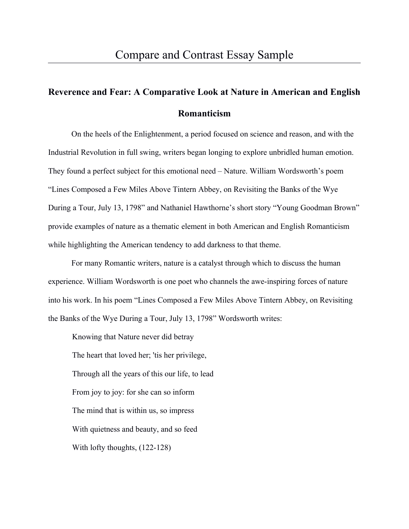## **Reverence and Fear: A Comparative Look at Nature in American and English Romanticism**

On the heels of the Enlightenment, a period focused on science and reason, and with the Industrial Revolution in full swing, writers began longing to explore unbridled human emotion. They found a perfect subject for this emotional need – Nature. William Wordsworth's poem "Lines Composed a Few Miles Above Tintern Abbey, on Revisiting the Banks of the Wye During a Tour, July 13, 1798" and Nathaniel Hawthorne's short story "Young Goodman Brown" provide examples of nature as a thematic element in both American and English Romanticism while highlighting the American tendency to add darkness to that theme.

For many Romantic writers, nature is a catalyst through which to discuss the human experience. William Wordsworth is one poet who channels the awe-inspiring forces of nature into his work. In his poem "Lines Composed a Few Miles Above Tintern Abbey, on Revisiting the Banks of the Wye During a Tour, July 13, 1798" Wordsworth writes:

Knowing that Nature never did betray The heart that loved her; 'tis her privilege, Through all the years of this our life, to lead From joy to joy: for she can so inform The mind that is within us, so impress With quietness and beauty, and so feed With lofty thoughts, (122-128)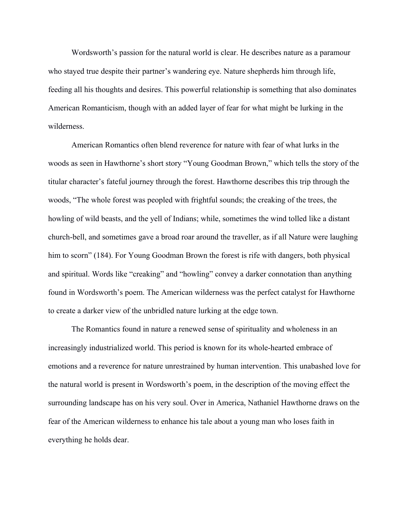Wordsworth's passion for the natural world is clear. He describes nature as a paramour who stayed true despite their partner's wandering eye. Nature shepherds him through life, feeding all his thoughts and desires. This powerful relationship is something that also dominates American Romanticism, though with an added layer of fear for what might be lurking in the wilderness.

American Romantics often blend reverence for nature with fear of what lurks in the woods as seen in Hawthorne's short story "Young Goodman Brown," which tells the story of the titular character's fateful journey through the forest. Hawthorne describes this trip through the woods, "The whole forest was peopled with frightful sounds; the creaking of the trees, the howling of wild beasts, and the yell of Indians; while, sometimes the wind tolled like a distant church-bell, and sometimes gave a broad roar around the traveller, as if all Nature were laughing him to scorn" (184). For Young Goodman Brown the forest is rife with dangers, both physical and spiritual. Words like "creaking" and "howling" convey a darker connotation than anything found in Wordsworth's poem. The American wilderness was the perfect catalyst for Hawthorne to create a darker view of the unbridled nature lurking at the edge town.

The Romantics found in nature a renewed sense of spirituality and wholeness in an increasingly industrialized world. This period is known for its whole-hearted embrace of emotions and a reverence for nature unrestrained by human intervention. This unabashed love for the natural world is present in Wordsworth's poem, in the description of the moving effect the surrounding landscape has on his very soul. Over in America, Nathaniel Hawthorne draws on the fear of the American wilderness to enhance his tale about a young man who loses faith in everything he holds dear.